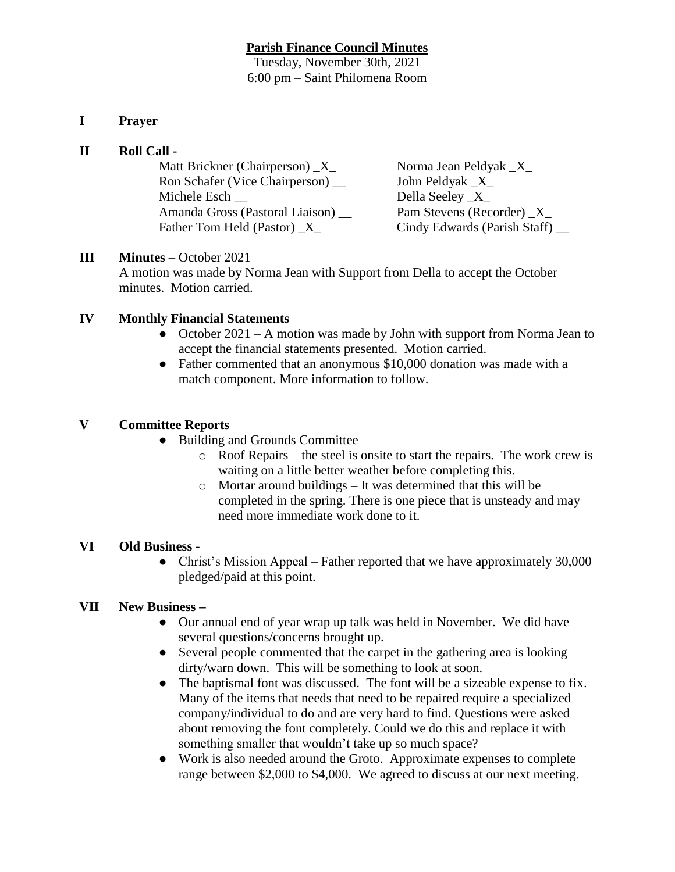### **Parish Finance Council Minutes**

Tuesday, November 30th, 2021 6:00 pm – Saint Philomena Room

## **I Prayer**

### **II Roll Call -**

| Matt Brickner (Chairperson) X      | Norma Jean Peldyak _X_          |
|------------------------------------|---------------------------------|
| Ron Schafer (Vice Chairperson) __  | John Peldyak _X_                |
| Michele Esch                       | Della Seeley _X_                |
| Amanda Gross (Pastoral Liaison) __ | Pam Stevens (Recorder) X        |
| Father Tom Held (Pastor) X         | Cindy Edwards (Parish Staff) __ |

## **III Minutes** – October 2021

A motion was made by Norma Jean with Support from Della to accept the October minutes. Motion carried.

## **IV Monthly Financial Statements**

- October  $2021 A$  motion was made by John with support from Norma Jean to accept the financial statements presented. Motion carried.
- Father commented that an anonymous \$10,000 donation was made with a match component. More information to follow.

### **V Committee Reports**

- Building and Grounds Committee
	- o Roof Repairs the steel is onsite to start the repairs. The work crew is waiting on a little better weather before completing this.
	- o Mortar around buildings It was determined that this will be completed in the spring. There is one piece that is unsteady and may need more immediate work done to it.

# **VI Old Business -**

• Christ's Mission Appeal – Father reported that we have approximately 30,000 pledged/paid at this point.

#### **VII New Business –**

- Our annual end of year wrap up talk was held in November. We did have several questions/concerns brought up.
- Several people commented that the carpet in the gathering area is looking dirty/warn down. This will be something to look at soon.
- The baptismal font was discussed. The font will be a sizeable expense to fix. Many of the items that needs that need to be repaired require a specialized company/individual to do and are very hard to find. Questions were asked about removing the font completely. Could we do this and replace it with something smaller that wouldn't take up so much space?
- Work is also needed around the Groto. Approximate expenses to complete range between \$2,000 to \$4,000. We agreed to discuss at our next meeting.